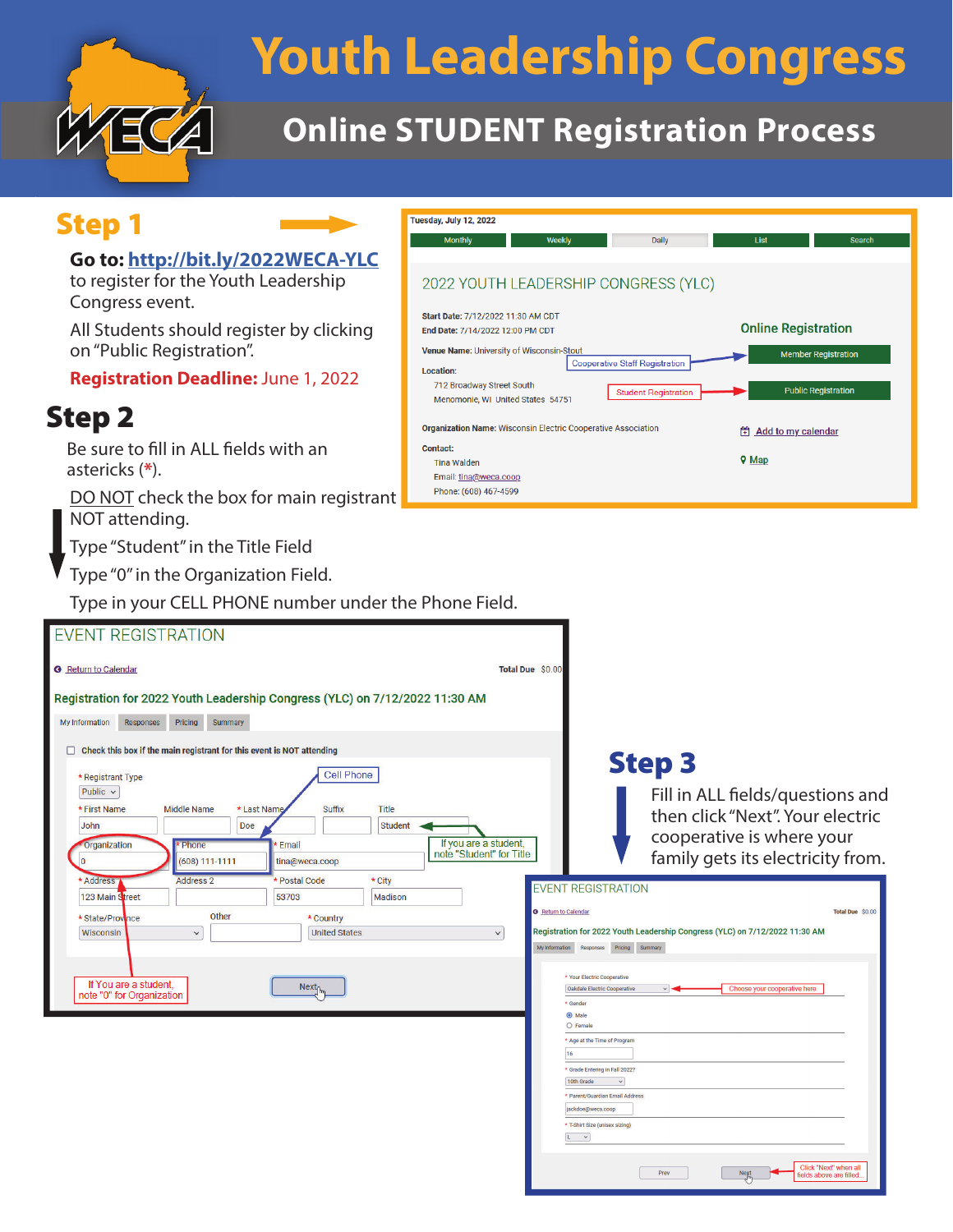

# **Youth Leadership Congress**

### **Online STUDENT Registration Process**

#### **Step 1**

#### **Go to: http://bit.ly/2022WECA-YLC**

to register for the Youth Leadership Congress event.

All Students should register by clicking on "Public Registration".

**Registration Deadline:** June 1, 2022

#### **Step 2**

Be sure to fill in ALL fields with an astericks (**\***).

DO NOT check the box for main registrant NOT attending.

Type "Student" in the Title Field

Type "0" in the Organization Field.

Type in your CELL PHONE number under the Phone Field.

| Tuesday, July 12, 2022                                                                                 |                            |
|--------------------------------------------------------------------------------------------------------|----------------------------|
| <b>Monthly</b><br>Weekly<br><b>Daily</b>                                                               | I ist<br>Search            |
| 2022 YOUTH LEADERSHIP CONGRESS (YLC)                                                                   |                            |
| Start Date: 7/12/2022 11:30 AM CDT<br>End Date: 7/14/2022 12:00 PM CDT                                 | <b>Online Registration</b> |
| Venue Name: University of Wisconsin-Stout<br><b>Cooperative Staff Registration</b><br><b>Location:</b> | <b>Member Registration</b> |
| 712 Broadway Street South<br><b>Student Registration</b><br>Menomonie, WI United States 54751          | <b>Public Registration</b> |
| <b>Organization Name: Wisconsin Electric Cooperative Association</b>                                   | Add to my calendar<br>m    |
| Contact:                                                                                               | <b>9 Map</b>               |
| <b>Tina Walden</b><br>Email: tina@weca.coop                                                            |                            |
| Phone: (608) 467-4599                                                                                  |                            |

#### **EVENT REGISTRATION** Return to Calendar Total Due \$0.00 Registration for 2022 Youth Leadership Congress (YLC) on 7/12/2022 11:30 AM My Information Responses Pricing Summary □ Check this box if the main registrant for this event is NOT attending **Step 3 Cell Phone** \* Registrant Type Public  $\vee$ Fill in ALL fields/questions and \* First Name Middle Name Suffix Title \* Last Nar then click "Next". Your electric John Doe Student cooperative is where your Phone If you are a student. Organization Fmail note "Student" for Title family gets its electricity from. $\overline{0}$  $(608)$  111-1111 tina@weca.coop Address Address<sub>2</sub> **Postal Code** \* City **EVENT REGISTRATION** 123 Main Street 53703 Madison Total Due \$0.00 Return to Calenda Other \* State/Pro \* Country ice Registration for 2022 Youth Leadership Congress (YLC) on 7/12/2022 11:30 AM Wisconsin  $\backsim$ **United States**  $\checkmark$ My Information Responses Pricing Summary \* Your Electric Cooperative  $Next_{[b]}$ If You are a student, Oakdale Electric Cooperat note "0" for Organization  $\odot$  Mak  $O$  Femal \* Age at the Time of Program 16 Grade Entering in Fall 2022 10th Grade \* Parent/Guardian Email Addres jackdoe@weca.coop T-Shirt Size (unisex sizing  $\mathsf{L}=-\mathsf{v}$ Click "Next" when all<br>fields above are filled.  $Next$